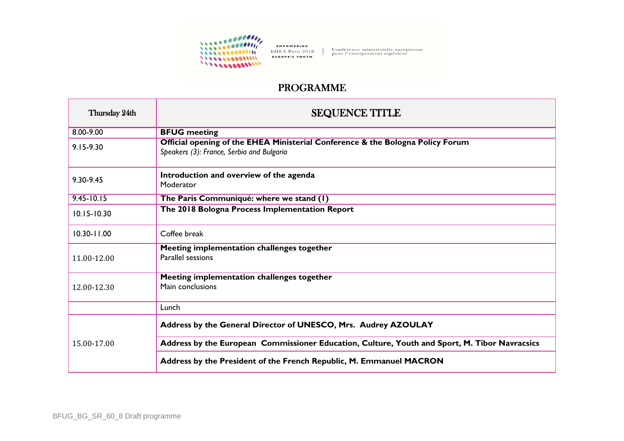

EMPOWERING EHEA Paris 2018 EUROPE'S YOUTH

Conférence ministérielle européenne<br>pour l'enseignement supérieur

## PROGRAMME

| Thursday 24th   | <b>SEQUENCE TITLE</b>                                                                                                       |
|-----------------|-----------------------------------------------------------------------------------------------------------------------------|
| 8.00-9.00       | <b>BFUG</b> meeting                                                                                                         |
| $9.15 - 9.30$   | Official opening of the EHEA Ministerial Conference & the Bologna Policy Forum<br>Speakers (3): France, Serbia and Bulgaria |
| 9.30-9.45       | Introduction and overview of the agenda<br>Moderator                                                                        |
| $9.45 - 10.15$  | The Paris Communiqué: where we stand (1)                                                                                    |
| $10.15 - 10.30$ | The 2018 Bologna Process Implementation Report                                                                              |
| $10.30 - 11.00$ | Coffee break                                                                                                                |
| 11.00-12.00     | Meeting implementation challenges together<br>Parallel sessions                                                             |
| 12.00-12.30     | Meeting implementation challenges together<br>Main conclusions                                                              |
|                 | Lunch                                                                                                                       |
| 15.00-17.00     | Address by the General Director of UNESCO, Mrs. Audrey AZOULAY                                                              |
|                 | Address by the European Commissioner Education, Culture, Youth and Sport, M. Tibor Navracsics                               |
|                 | Address by the President of the French Republic, M. Emmanuel MACRON                                                         |

- F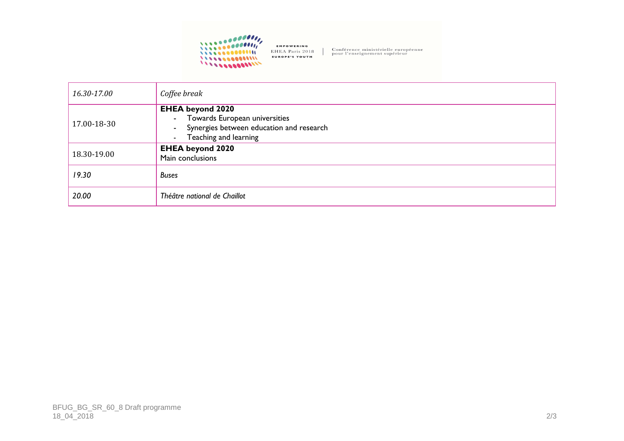

Conférence ministérielle européenne<br>pour l'enseignement supérieur

| 16.30-17.00 | Coffee break                                                                                                                                        |
|-------------|-----------------------------------------------------------------------------------------------------------------------------------------------------|
| 17.00-18-30 | <b>EHEA beyond 2020</b><br>- Towards European universities<br>Synergies between education and research<br>$\sim$<br>Teaching and learning<br>$\sim$ |
| 18.30-19.00 | <b>EHEA beyond 2020</b><br>Main conclusions                                                                                                         |
| 19.30       | <b>Buses</b>                                                                                                                                        |
| 20.00       | Théâtre national de Chaillot                                                                                                                        |